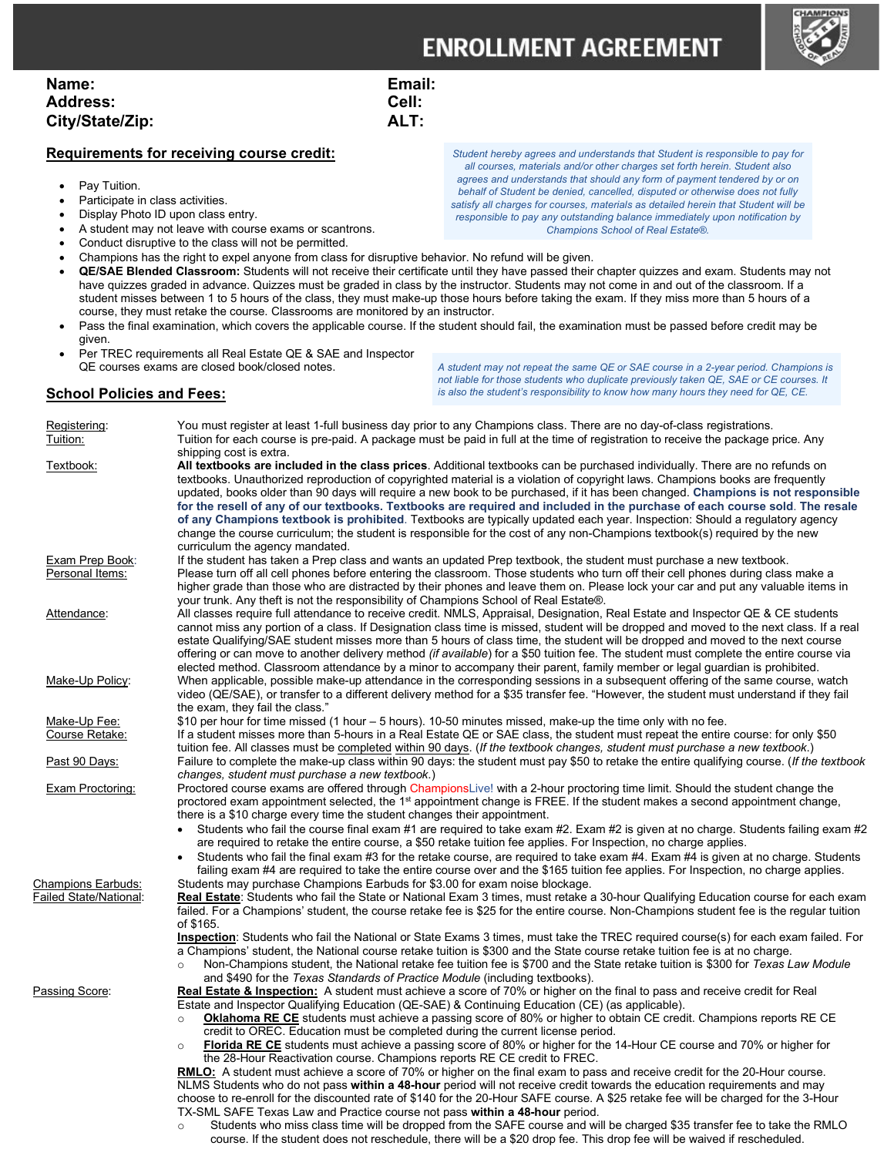## **ENROLLMENT AGREEMENT**

| Name:           | Email: |
|-----------------|--------|
| <b>Address:</b> | Cell:  |
| City/State/Zip: | ALT:   |

## **Requirements for receiving course credit:**

- Pay Tuition.
- Participate in class activities.
- Display Photo ID upon class entry.
- A student may not leave with course exams or scantrons.
- Conduct disruptive to the class will not be permitted.
- Champions has the right to expel anyone from class for disruptive behavior. No refund will be given.
- **QE/SAE Blended Classroom:** Students will not receive their certificate until they have passed their chapter quizzes and exam. Students may not have quizzes graded in advance. Quizzes must be graded in class by the instructor. Students may not come in and out of the classroom. If a student misses between 1 to 5 hours of the class, they must make-up those hours before taking the exam. If they miss more than 5 hours of a course, they must retake the course. Classrooms are monitored by an instructor.
- Pass the final examination, which covers the applicable course. If the student should fail, the examination must be passed before credit may be given.
- Per TREC requirements all Real Estate QE & SAE and Inspector QE courses exams are closed book/closed notes.

*A student may not repeat the same QE or SAE course in a 2-year period. Champions is not liable for those students who duplicate previously taken QE, SAE or CE courses. It is also the student's responsibility to know how many hours they need for QE, CE.*

## **School Policies and Fees:**

Registering: You must register at least 1-full business day prior to any Champions class. There are no day-of-class registrations.<br>Tuition: Tuition for each course is pre-paid. A package must be paid in full at the time of Tuition for each course is pre-paid. A package must be paid in full at the time of registration to receive the package price. Any shipping cost is extra. Textbook: **All textbooks are included in the class prices**. Additional textbooks can be purchased individually. There are no refunds on textbooks. Unauthorized reproduction of copyrighted material is a violation of copyright laws. Champions books are frequently updated, books older than 90 days will require a new book to be purchased, if it has been changed. **Champions is not responsible for the resell of any of our textbooks. Textbooks are required and included in the purchase of each course sold**. **The resale of any Champions textbook is prohibited**. Textbooks are typically updated each year. Inspection: Should a regulatory agency change the course curriculum; the student is responsible for the cost of any non-Champions textbook(s) required by the new curriculum the agency mandated. Exam Prep Book: If the student has taken a Prep class and wants an updated Prep textbook, the student must purchase a new textbook. Personal Items: Please turn off all cell phones before entering the classroom. Those students who turn off their cell phones during class make a higher grade than those who are distracted by their phones and leave them on. Please lock your car and put any valuable items in your trunk. Any theft is not the responsibility of Champions School of Real Estate®. Attendance: All classes require full attendance to receive credit. NMLS, Appraisal, Designation, Real Estate and Inspector QE & CE students cannot miss any portion of a class. If Designation class time is missed, student will be dropped and moved to the next class. If a real estate Qualifying/SAE student misses more than 5 hours of class time, the student will be dropped and moved to the next course offering or can move to another delivery method *(if available*) for a \$50 tuition fee. The student must complete the entire course via elected method. Classroom attendance by a minor to accompany their parent, family member or legal guardian is prohibited. Make-Up Policy: When applicable, possible make-up attendance in the corresponding sessions in a subsequent offering of the same course, watch video (QE/SAE), or transfer to a different delivery method for a \$35 transfer fee. "However, the student must understand if they fail the exam, they fail the class." Make-Up Fee: \$10 per hour for time missed (1 hour – 5 hours). 10-50 minutes missed, make-up the time only with no fee. Course Retake: If a student misses more than 5-hours in a Real Estate QE or SAE class, the student must repeat the entire course: for only \$50 tuition fee. All classes must be completed within 90 days. (*If the textbook changes, student must purchase a new textbook*.) Past 90 Days: Failure to complete the make-up class within 90 days: the student must pay \$50 to retake the entire qualifying course. (*If the textbook changes, student must purchase a new textbook*.) Exam Proctoring: Proctored course exams are offered through ChampionsLive! with a 2-hour proctoring time limit. Should the student change the proctored exam appointment selected, the 1<sup>st</sup> appointment change is FREE. If the student makes a second appointment change, there is a \$10 charge every time the student changes their appointment. • Students who fail the course final exam #1 are required to take exam #2. Exam #2 is given at no charge. Students failing exam #2 are required to retake the entire course, a \$50 retake tuition fee applies. For Inspection, no charge applies. • Students who fail the final exam #3 for the retake course, are required to take exam #4. Exam #4 is given at no charge. Students failing exam #4 are required to take the entire course over and the \$165 tuition fee applies. For Inspection, no charge applies. Champions Earbuds: Students may purchase Champions Earbuds for \$3.00 for exam noise blockage.<br>Tailed State/National: **Real Estate**: Students who fail the State or National Exam 3 times, must retake a Real Estate: Students who fail the State or National Exam 3 times, must retake a 30-hour Qualifying Education course for each exam failed. For a Champions' student, the course retake fee is \$25 for the entire course. Non-Champions student fee is the regular tuition of \$165. **Inspection**: Students who fail the National or State Exams 3 times, must take the TREC required course(s) for each exam failed. For a Champions' student, the National course retake tuition is \$300 and the State course retake tuition fee is at no charge. o Non-Champions student, the National retake fee tuition fee is \$700 and the State retake tuition is \$300 for *Texas Law Module* and \$490 for the *Texas Standards of Practice Module* (including textbooks). Passing Score: **Real Estate & Inspection:** A student must achieve a score of 70% or higher on the final to pass and receive credit for Real Estate and Inspector Qualifying Education (QE-SAE) & Continuing Education (CE) (as applicable). o **Oklahoma RE CE** students must achieve a passing score of 80% or higher to obtain CE credit. Champions reports RE CE credit to OREC. Education must be completed during the current license period. o **Florida RE CE** students must achieve a passing score of 80% or higher for the 14-Hour CE course and 70% or higher for the 28-Hour Reactivation course. Champions reports RE CE credit to FREC. **RMLO:** A student must achieve a score of 70% or higher on the final exam to pass and receive credit for the 20-Hour course. NLMS Students who do not pass **within a 48-hour** period will not receive credit towards the education requirements and may choose to re-enroll for the discounted rate of \$140 for the 20-Hour SAFE course. A \$25 retake fee will be charged for the 3-Hour TX-SML SAFE Texas Law and Practice course not pass **within a 48-hour** period.

o Students who miss class time will be dropped from the SAFE course and will be charged \$35 transfer fee to take the RMLO course. If the student does not reschedule, there will be a \$20 drop fee. This drop fee will be waived if rescheduled.

*Student hereby agrees and understands that Student is responsible to pay for all courses, materials and/or other charges set forth herein. Student also agrees and understands that should any form of payment tendered by or on behalf of Student be denied, cancelled, disputed or otherwise does not fully satisfy all charges for courses, materials as detailed herein that Student will be responsible to pay any outstanding balance immediately upon notification by Champions School of Real Estate®.*